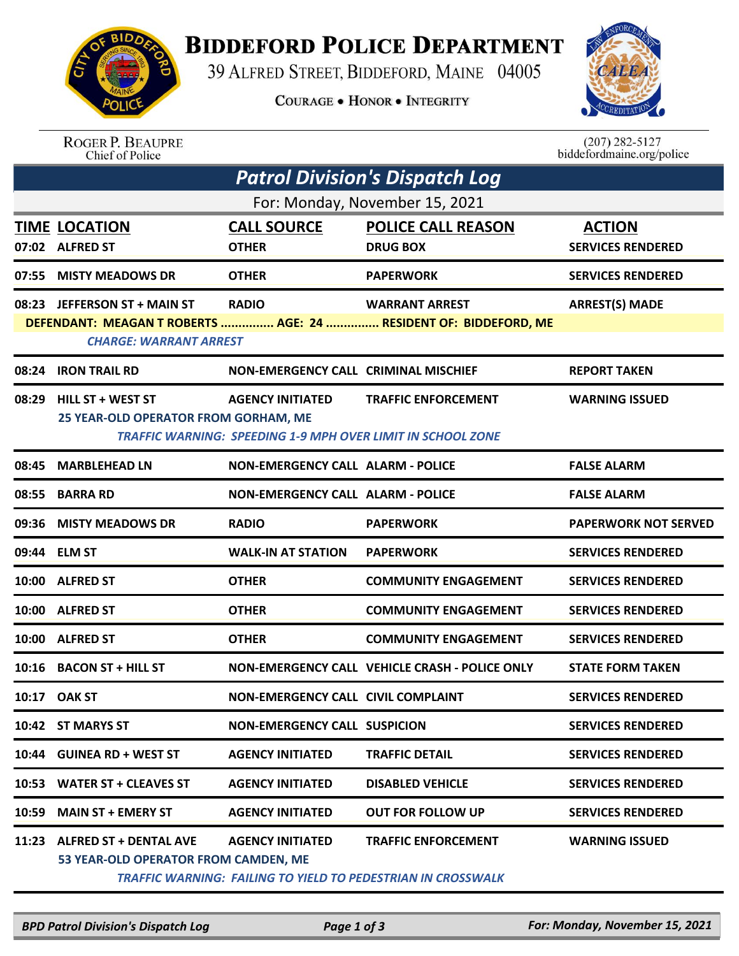

## **BIDDEFORD POLICE DEPARTMENT**

39 ALFRED STREET, BIDDEFORD, MAINE 04005

**COURAGE . HONOR . INTEGRITY** 



ROGER P. BEAUPRE<br>Chief of Police

 $(207)$  282-5127<br>biddefordmaine.org/police

| <b>Patrol Division's Dispatch Log</b> |                                                                      |                                           |                                                                                                  |                                           |  |  |  |  |
|---------------------------------------|----------------------------------------------------------------------|-------------------------------------------|--------------------------------------------------------------------------------------------------|-------------------------------------------|--|--|--|--|
| For: Monday, November 15, 2021        |                                                                      |                                           |                                                                                                  |                                           |  |  |  |  |
|                                       | <b>TIME LOCATION</b><br>07:02 ALFRED ST                              | <b>CALL SOURCE</b><br><b>OTHER</b>        | <b>POLICE CALL REASON</b><br><b>DRUG BOX</b>                                                     | <b>ACTION</b><br><b>SERVICES RENDERED</b> |  |  |  |  |
| 07:55                                 | <b>MISTY MEADOWS DR</b>                                              | <b>OTHER</b>                              | <b>PAPERWORK</b>                                                                                 | <b>SERVICES RENDERED</b>                  |  |  |  |  |
| 08:23                                 | <b>JEFFERSON ST + MAIN ST</b><br><b>CHARGE: WARRANT ARREST</b>       | <b>RADIO</b>                              | <b>WARRANT ARREST</b><br>DEFENDANT: MEAGAN T ROBERTS  AGE: 24  RESIDENT OF: BIDDEFORD, ME        | <b>ARREST(S) MADE</b>                     |  |  |  |  |
| 08:24                                 | <b>IRON TRAIL RD</b>                                                 | NON-EMERGENCY CALL CRIMINAL MISCHIEF      |                                                                                                  | <b>REPORT TAKEN</b>                       |  |  |  |  |
| 08:29                                 | <b>HILL ST + WEST ST</b><br>25 YEAR-OLD OPERATOR FROM GORHAM, ME     | <b>AGENCY INITIATED</b>                   | <b>TRAFFIC ENFORCEMENT</b><br><b>TRAFFIC WARNING: SPEEDING 1-9 MPH OVER LIMIT IN SCHOOL ZONE</b> | <b>WARNING ISSUED</b>                     |  |  |  |  |
| 08:45                                 | <b>MARBLEHEAD LN</b>                                                 | <b>NON-EMERGENCY CALL ALARM - POLICE</b>  |                                                                                                  | <b>FALSE ALARM</b>                        |  |  |  |  |
| 08:55                                 | <b>BARRA RD</b>                                                      | <b>NON-EMERGENCY CALL ALARM - POLICE</b>  |                                                                                                  | <b>FALSE ALARM</b>                        |  |  |  |  |
| 09:36                                 | <b>MISTY MEADOWS DR</b>                                              | <b>RADIO</b>                              | <b>PAPERWORK</b>                                                                                 | <b>PAPERWORK NOT SERVED</b>               |  |  |  |  |
| 09:44                                 | <b>ELM ST</b>                                                        | <b>WALK-IN AT STATION</b>                 | <b>PAPERWORK</b>                                                                                 | <b>SERVICES RENDERED</b>                  |  |  |  |  |
| 10:00                                 | <b>ALFRED ST</b>                                                     | <b>OTHER</b>                              | <b>COMMUNITY ENGAGEMENT</b>                                                                      | <b>SERVICES RENDERED</b>                  |  |  |  |  |
| 10:00                                 | <b>ALFRED ST</b>                                                     | <b>OTHER</b>                              | <b>COMMUNITY ENGAGEMENT</b>                                                                      | <b>SERVICES RENDERED</b>                  |  |  |  |  |
| 10:00                                 | <b>ALFRED ST</b>                                                     | <b>OTHER</b>                              | <b>COMMUNITY ENGAGEMENT</b>                                                                      | <b>SERVICES RENDERED</b>                  |  |  |  |  |
| 10:16                                 | <b>BACON ST + HILL ST</b>                                            |                                           | NON-EMERGENCY CALL VEHICLE CRASH - POLICE ONLY                                                   | <b>STATE FORM TAKEN</b>                   |  |  |  |  |
| 10:17                                 | <b>OAK ST</b>                                                        | <b>NON-EMERGENCY CALL CIVIL COMPLAINT</b> |                                                                                                  | <b>SERVICES RENDERED</b>                  |  |  |  |  |
|                                       | 10:42 ST MARYS ST                                                    | <b>NON-EMERGENCY CALL SUSPICION</b>       |                                                                                                  | <b>SERVICES RENDERED</b>                  |  |  |  |  |
|                                       | 10:44 GUINEA RD + WEST ST                                            | <b>AGENCY INITIATED</b>                   | <b>TRAFFIC DETAIL</b>                                                                            | <b>SERVICES RENDERED</b>                  |  |  |  |  |
|                                       | 10:53 WATER ST + CLEAVES ST                                          | <b>AGENCY INITIATED</b>                   | <b>DISABLED VEHICLE</b>                                                                          | <b>SERVICES RENDERED</b>                  |  |  |  |  |
| 10:59                                 | <b>MAIN ST + EMERY ST</b>                                            | <b>AGENCY INITIATED</b>                   | <b>OUT FOR FOLLOW UP</b>                                                                         | <b>SERVICES RENDERED</b>                  |  |  |  |  |
|                                       | 11:23 ALFRED ST + DENTAL AVE<br>53 YEAR-OLD OPERATOR FROM CAMDEN, ME | <b>AGENCY INITIATED</b>                   | <b>TRAFFIC ENFORCEMENT</b><br>TRAFFIC WARNING: FAILING TO YIELD TO PEDESTRIAN IN CROSSWALK       | <b>WARNING ISSUED</b>                     |  |  |  |  |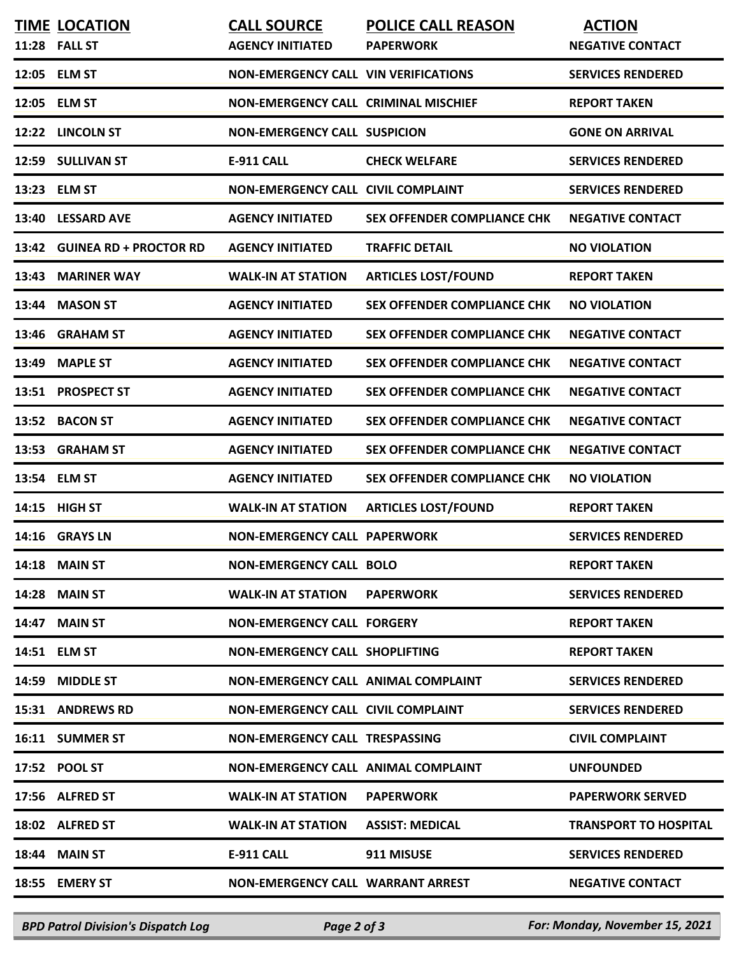| <b>TIME LOCATION</b><br>11:28 FALL ST | <b>CALL SOURCE</b><br><b>AGENCY INITIATED</b> | <b>POLICE CALL REASON</b><br><b>PAPERWORK</b> | <b>ACTION</b><br><b>NEGATIVE CONTACT</b> |
|---------------------------------------|-----------------------------------------------|-----------------------------------------------|------------------------------------------|
| 12:05 ELM ST                          | <b>NON-EMERGENCY CALL VIN VERIFICATIONS</b>   |                                               | <b>SERVICES RENDERED</b>                 |
| 12:05 ELM ST                          | NON-EMERGENCY CALL CRIMINAL MISCHIEF          |                                               | <b>REPORT TAKEN</b>                      |
| 12:22 LINCOLN ST                      | <b>NON-EMERGENCY CALL SUSPICION</b>           |                                               | <b>GONE ON ARRIVAL</b>                   |
| 12:59 SULLIVAN ST                     | E-911 CALL                                    | <b>CHECK WELFARE</b>                          | <b>SERVICES RENDERED</b>                 |
| 13:23 ELM ST                          | NON-EMERGENCY CALL CIVIL COMPLAINT            |                                               | <b>SERVICES RENDERED</b>                 |
| 13:40 LESSARD AVE                     | <b>AGENCY INITIATED</b>                       | SEX OFFENDER COMPLIANCE CHK                   | <b>NEGATIVE CONTACT</b>                  |
| 13:42 GUINEA RD + PROCTOR RD          | <b>AGENCY INITIATED</b>                       | <b>TRAFFIC DETAIL</b>                         | <b>NO VIOLATION</b>                      |
| 13:43 MARINER WAY                     | <b>WALK-IN AT STATION</b>                     | <b>ARTICLES LOST/FOUND</b>                    | <b>REPORT TAKEN</b>                      |
| 13:44 MASON ST                        | <b>AGENCY INITIATED</b>                       | <b>SEX OFFENDER COMPLIANCE CHK</b>            | <b>NO VIOLATION</b>                      |
| 13:46 GRAHAM ST                       | <b>AGENCY INITIATED</b>                       | <b>SEX OFFENDER COMPLIANCE CHK</b>            | <b>NEGATIVE CONTACT</b>                  |
| 13:49 MAPLE ST                        | <b>AGENCY INITIATED</b>                       | SEX OFFENDER COMPLIANCE CHK                   | <b>NEGATIVE CONTACT</b>                  |
| 13:51 PROSPECT ST                     | <b>AGENCY INITIATED</b>                       | SEX OFFENDER COMPLIANCE CHK                   | <b>NEGATIVE CONTACT</b>                  |
| 13:52 BACON ST                        | <b>AGENCY INITIATED</b>                       | SEX OFFENDER COMPLIANCE CHK                   | <b>NEGATIVE CONTACT</b>                  |
| 13:53 GRAHAM ST                       | <b>AGENCY INITIATED</b>                       | SEX OFFENDER COMPLIANCE CHK                   | <b>NEGATIVE CONTACT</b>                  |
| 13:54 ELM ST                          | <b>AGENCY INITIATED</b>                       | <b>SEX OFFENDER COMPLIANCE CHK</b>            | <b>NO VIOLATION</b>                      |
| 14:15 HIGH ST                         | <b>WALK-IN AT STATION</b>                     | <b>ARTICLES LOST/FOUND</b>                    | <b>REPORT TAKEN</b>                      |
| 14:16 GRAYS LN                        | <b>NON-EMERGENCY CALL PAPERWORK</b>           |                                               | <b>SERVICES RENDERED</b>                 |
| <b>14:18 MAIN ST</b>                  | <b>NON-EMERGENCY CALL BOLO</b>                |                                               | <b>REPORT TAKEN</b>                      |
| <b>14:28 MAIN ST</b>                  | <b>WALK-IN AT STATION</b>                     | <b>PAPERWORK</b>                              | <b>SERVICES RENDERED</b>                 |
| <b>14:47 MAIN ST</b>                  | <b>NON-EMERGENCY CALL FORGERY</b>             |                                               | <b>REPORT TAKEN</b>                      |
| 14:51 ELM ST                          | NON-EMERGENCY CALL SHOPLIFTING                |                                               | <b>REPORT TAKEN</b>                      |
| 14:59 MIDDLE ST                       | NON-EMERGENCY CALL ANIMAL COMPLAINT           |                                               | <b>SERVICES RENDERED</b>                 |
| 15:31 ANDREWS RD                      | <b>NON-EMERGENCY CALL CIVIL COMPLAINT</b>     |                                               | <b>SERVICES RENDERED</b>                 |
| 16:11 SUMMER ST                       | NON-EMERGENCY CALL TRESPASSING                |                                               | <b>CIVIL COMPLAINT</b>                   |
| 17:52 POOL ST                         | NON-EMERGENCY CALL ANIMAL COMPLAINT           |                                               | <b>UNFOUNDED</b>                         |
| 17:56 ALFRED ST                       | <b>WALK-IN AT STATION</b>                     | <b>PAPERWORK</b>                              | <b>PAPERWORK SERVED</b>                  |
| 18:02 ALFRED ST                       | <b>WALK-IN AT STATION</b>                     | <b>ASSIST: MEDICAL</b>                        | <b>TRANSPORT TO HOSPITAL</b>             |
| <b>18:44 MAIN ST</b>                  | <b>E-911 CALL</b>                             | 911 MISUSE                                    | <b>SERVICES RENDERED</b>                 |
| 18:55 EMERY ST                        | NON-EMERGENCY CALL WARRANT ARREST             |                                               | <b>NEGATIVE CONTACT</b>                  |
|                                       |                                               |                                               |                                          |

*BPD Patrol Division's Dispatch Log Page 2 of 3 For: Monday, November 15, 2021*